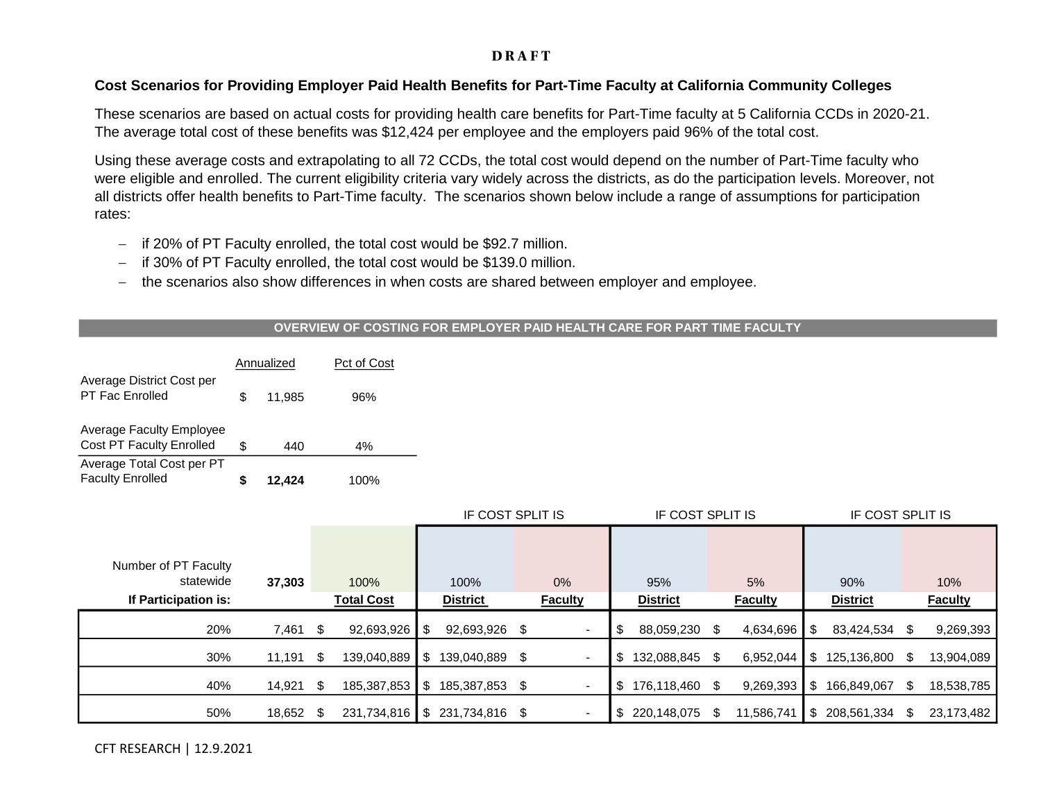# **DRAFT**

# **Cost Scenarios for Providing Employer Paid Health Benefits for Part-Time Faculty at California Community Colleges**

These scenarios are based on actual costs for providing health care benefits for Part-Time faculty at 5 California CCDs in 2020-21. The average total cost of these benefits was \$12,424 per employee and the employers paid 96% of the total cost.

Using these average costs and extrapolating to all 72 CCDs, the total cost would depend on the number of Part-Time faculty who were eligible and enrolled. The current eligibility criteria vary widely across the districts, as do the participation levels. Moreover, not all districts offer health benefits to Part-Time faculty. The scenarios shown below include a range of assumptions for participation rates:

- − if 20% of PT Faculty enrolled, the total cost would be \$92.7 million.
- − if 30% of PT Faculty enrolled, the total cost would be \$139.0 million.
- − the scenarios also show differences in when costs are shared between employer and employee.

### **OVERVIEW OF COSTING FOR EMPLOYER PAID HEALTH CARE FOR PART TIME FACULTY**

|                                                             |    | Annualized | Pct of Cost |  |  |  |
|-------------------------------------------------------------|----|------------|-------------|--|--|--|
| Average District Cost per<br><b>PT Fac Enrolled</b>         | S. | 11.985     | 96%         |  |  |  |
| <b>Average Faculty Employee</b><br>Cost PT Faculty Enrolled | \$ | 440        | 4%          |  |  |  |
| Average Total Cost per PT<br><b>Faculty Enrolled</b>        |    | 12.424     | 100%        |  |  |  |

|                                                           |        |      |                           | IF COST SPLIT IS |                         |     | IF COST SPLIT IS         |     |                        |    | IF COST SPLIT IS     |     |                        |      |                       |
|-----------------------------------------------------------|--------|------|---------------------------|------------------|-------------------------|-----|--------------------------|-----|------------------------|----|----------------------|-----|------------------------|------|-----------------------|
| Number of PT Faculty<br>statewide<br>If Participation is: | 37,303 |      | 100%<br><b>Total Cost</b> |                  | 100%<br><b>District</b> |     | $0\%$<br><b>Faculty</b>  |     | 95%<br><b>District</b> |    | 5%<br><b>Faculty</b> |     | 90%<br><b>District</b> |      | 10%<br><b>Faculty</b> |
| 20%                                                       | 7,461  | - \$ | 92,693,926                | \$               | 92,693,926 \$           |     |                          | S   | 88,059,230             |    | 4,634,696            | -S  | 83,424,534             |      | 9,269,393             |
| 30%                                                       | 11,191 | - \$ | 139,040,889               | \$               | 139,040,889             | - S | $\overline{\phantom{a}}$ | S.  | 132,088,845            | S. | 6,952,044            | -S  | 125,136,800 \$         |      | 13,904,089            |
| 40%                                                       | 14,921 | - \$ | 185,387,853               | \$               | 185,387,853 \$          |     | $\overline{\phantom{a}}$ | S.  | 176,118,460 \$         |    | 9,269,393            | -\$ | 166.849.067            | - \$ | 18,538,785            |
| 50%                                                       | 18,652 | - \$ | 231,734,816               |                  | $$231,734,816$ \$       |     | $\blacksquare$           | - S | 220.148.075            | S  | 11.586.741           | -S  | 208,561,334            | -36  | 23,173,482            |